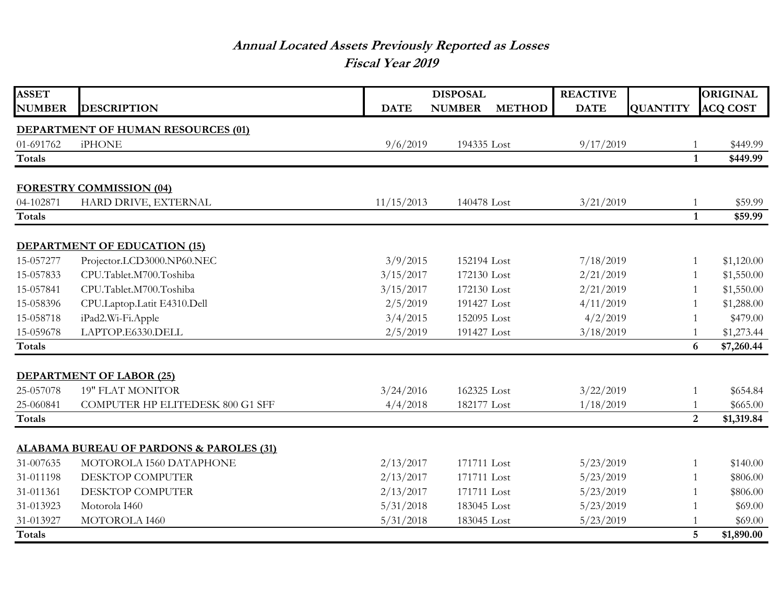## **Annual Located Assets Previously Reported as Losses Fiscal Year 2019**

| <b>ASSET</b>  |                                                     |             | <b>DISPOSAL</b>                | <b>REACTIVE</b> |                 | <b>ORIGINAL</b> |
|---------------|-----------------------------------------------------|-------------|--------------------------------|-----------------|-----------------|-----------------|
| <b>NUMBER</b> | <b>DESCRIPTION</b>                                  | <b>DATE</b> | <b>NUMBER</b><br><b>METHOD</b> | <b>DATE</b>     | <b>QUANTITY</b> | <b>ACQ COST</b> |
|               | <b>DEPARTMENT OF HUMAN RESOURCES (01)</b>           |             |                                |                 |                 |                 |
| 01-691762     | <b>iPHONE</b>                                       | 9/6/2019    | 194335 Lost                    | 9/17/2019       | 1               | \$449.99        |
| <b>Totals</b> |                                                     |             |                                |                 | $\mathbf{1}$    | \$449.99        |
|               |                                                     |             |                                |                 |                 |                 |
|               | <b>FORESTRY COMMISSION (04)</b>                     |             |                                |                 |                 |                 |
| 04-102871     | HARD DRIVE, EXTERNAL                                | 11/15/2013  | 140478 Lost                    | 3/21/2019       | 1               | \$59.99         |
| <b>Totals</b> |                                                     |             |                                |                 | $\mathbf{1}$    | \$59.99         |
|               | <b>DEPARTMENT OF EDUCATION (15)</b>                 |             |                                |                 |                 |                 |
| 15-057277     | Projector.LCD3000.NP60.NEC                          | 3/9/2015    | 152194 Lost                    | 7/18/2019       | 1               | \$1,120.00      |
| 15-057833     | CPU.Tablet.M700.Toshiba                             | 3/15/2017   | 172130 Lost                    | 2/21/2019       | 1               | \$1,550.00      |
| 15-057841     | CPU.Tablet.M700.Toshiba                             | 3/15/2017   | 172130 Lost                    | 2/21/2019       | 1               | \$1,550.00      |
| 15-058396     | CPU.Laptop.Latit E4310.Dell                         | 2/5/2019    | 191427 Lost                    | 4/11/2019       | 1               | \$1,288.00      |
| 15-058718     | iPad2.Wi-Fi.Apple                                   | 3/4/2015    | 152095 Lost                    | 4/2/2019        | $\mathbf{1}$    | \$479.00        |
| 15-059678     | LAPTOP.E6330.DELL                                   | 2/5/2019    | 191427 Lost                    | 3/18/2019       | 1               | \$1,273.44      |
| <b>Totals</b> |                                                     |             |                                |                 | 6               | \$7,260.44      |
|               |                                                     |             |                                |                 |                 |                 |
|               | <b>DEPARTMENT OF LABOR (25)</b>                     |             |                                |                 |                 |                 |
| 25-057078     | <b>19" FLAT MONITOR</b>                             | 3/24/2016   | 162325 Lost                    | 3/22/2019       | 1               | \$654.84        |
| 25-060841     | COMPUTER HP ELITEDESK 800 G1 SFF                    | 4/4/2018    | 182177 Lost                    | 1/18/2019       | 1               | \$665.00        |
| <b>Totals</b> |                                                     |             |                                |                 | $\overline{2}$  | \$1,319.84      |
|               |                                                     |             |                                |                 |                 |                 |
|               | <b>ALABAMA BUREAU OF PARDONS &amp; PAROLES (31)</b> |             |                                |                 |                 |                 |
| 31-007635     | MOTOROLA I560 DATAPHONE                             | 2/13/2017   | 171711 Lost                    | 5/23/2019       | 1               | \$140.00        |
| 31-011198     | DESKTOP COMPUTER                                    | 2/13/2017   | 171711 Lost                    | 5/23/2019       | 1               | \$806.00        |
| 31-011361     | DESKTOP COMPUTER                                    | 2/13/2017   | 171711 Lost                    | 5/23/2019       | 1               | \$806.00        |
| 31-013923     | Motorola I460                                       | 5/31/2018   | 183045 Lost                    | 5/23/2019       | 1               | \$69.00         |
| 31-013927     | MOTOROLA I460                                       | 5/31/2018   | 183045 Lost                    | 5/23/2019       | 1               | \$69.00         |
| <b>Totals</b> |                                                     |             |                                |                 | 5               | \$1,890.00      |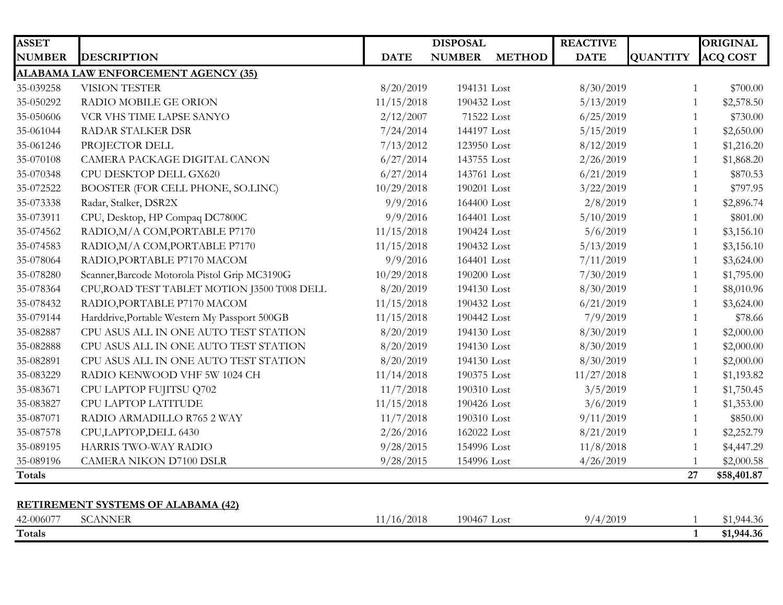| <b>ASSET</b>  |                                                             |             | <b>DISPOSAL</b> |               | <b>REACTIVE</b> |                 | <b>ORIGINAL</b> |
|---------------|-------------------------------------------------------------|-------------|-----------------|---------------|-----------------|-----------------|-----------------|
| <b>NUMBER</b> | <b>DESCRIPTION</b>                                          | <b>DATE</b> | <b>NUMBER</b>   | <b>METHOD</b> | <b>DATE</b>     | <b>QUANTITY</b> | <b>ACQ COST</b> |
|               | <b>ALABAMA LAW ENFORCEMENT AGENCY (35)</b>                  |             |                 |               |                 |                 |                 |
| 35-039258     | <b>VISION TESTER</b>                                        | 8/20/2019   | 194131 Lost     |               | 8/30/2019       | 1               | \$700.00        |
| 35-050292     | RADIO MOBILE GE ORION                                       | 11/15/2018  | 190432 Lost     |               | 5/13/2019       | 1               | \$2,578.50      |
| 35-050606     | VCR VHS TIME LAPSE SANYO                                    | 2/12/2007   | 71522 Lost      |               | 6/25/2019       | $\mathbf{1}$    | \$730.00        |
| 35-061044     | RADAR STALKER DSR                                           | 7/24/2014   | 144197 Lost     |               | 5/15/2019       | 1               | \$2,650.00      |
| 35-061246     | PROJECTOR DELL                                              | 7/13/2012   | 123950 Lost     |               | 8/12/2019       | $\mathbf{1}$    | \$1,216.20      |
| 35-070108     | CAMERA PACKAGE DIGITAL CANON                                | 6/27/2014   | 143755 Lost     |               | 2/26/2019       | 1               | \$1,868.20      |
| 35-070348     | CPU DESKTOP DELL GX620                                      | 6/27/2014   | 143761 Lost     |               | 6/21/2019       | $\mathbf{1}$    | \$870.53        |
| 35-072522     | BOOSTER (FOR CELL PHONE, SO.LINC)                           | 10/29/2018  | 190201 Lost     |               | 3/22/2019       | $\mathbf{1}$    | \$797.95        |
| 35-073338     | Radar, Stalker, DSR2X                                       | 9/9/2016    | 164400 Lost     |               | 2/8/2019        | $\mathbf{1}$    | \$2,896.74      |
| 35-073911     | CPU, Desktop, HP Compaq DC7800C                             | 9/9/2016    | 164401 Lost     |               | 5/10/2019       | 1               | \$801.00        |
| 35-074562     | RADIO, M/A COM, PORTABLE P7170                              | 11/15/2018  | 190424 Lost     |               | 5/6/2019        | 1               | \$3,156.10      |
| 35-074583     | RADIO, M/A COM, PORTABLE P7170                              | 11/15/2018  | 190432 Lost     |               | 5/13/2019       | $\mathbf{1}$    | \$3,156.10      |
| 35-078064     | RADIO, PORTABLE P7170 MACOM                                 | 9/9/2016    | 164401 Lost     |               | 7/11/2019       | 1               | \$3,624.00      |
| 35-078280     | Scanner, Barcode Motorola Pistol Grip MC3190G               | 10/29/2018  | 190200 Lost     |               | 7/30/2019       | $\mathbf{1}$    | \$1,795.00      |
| 35-078364     | CPU, ROAD TEST TABLET MOTION J3500 T008 DELL                | 8/20/2019   | 194130 Lost     |               | 8/30/2019       | $\mathbf{1}$    | \$8,010.96      |
| 35-078432     | RADIO, PORTABLE P7170 MACOM                                 | 11/15/2018  | 190432 Lost     |               | 6/21/2019       | $\mathbf{1}$    | \$3,624.00      |
| 35-079144     | Harddrive, Portable Western My Passport 500GB               | 11/15/2018  | 190442 Lost     |               | 7/9/2019        | $\mathbf{1}$    | \$78.66         |
| 35-082887     | CPU ASUS ALL IN ONE AUTO TEST STATION                       | 8/20/2019   | 194130 Lost     |               | 8/30/2019       | $\mathbf{1}$    | \$2,000.00      |
| 35-082888     | CPU ASUS ALL IN ONE AUTO TEST STATION                       | 8/20/2019   | 194130 Lost     |               | 8/30/2019       | 1               | \$2,000.00      |
| 35-082891     | CPU ASUS ALL IN ONE AUTO TEST STATION                       | 8/20/2019   | 194130 Lost     |               | 8/30/2019       | 1               | \$2,000.00      |
| 35-083229     | RADIO KENWOOD VHF 5W 1024 CH                                | 11/14/2018  | 190375 Lost     |               | 11/27/2018      | 1               | \$1,193.82      |
| 35-083671     | CPU LAPTOP FUJITSU Q702                                     | 11/7/2018   | 190310 Lost     |               | 3/5/2019        | 1               | \$1,750.45      |
| 35-083827     | CPU LAPTOP LATITUDE                                         | 11/15/2018  | 190426 Lost     |               | 3/6/2019        |                 | \$1,353.00      |
| 35-087071     | RADIO ARMADILLO R765 2 WAY                                  | 11/7/2018   | 190310 Lost     |               | 9/11/2019       | 1               | \$850.00        |
| 35-087578     | CPU,LAPTOP,DELL 6430                                        | 2/26/2016   | 162022 Lost     |               | 8/21/2019       | $\mathbf{1}$    | \$2,252.79      |
| 35-089195     | HARRIS TWO-WAY RADIO                                        | 9/28/2015   | 154996 Lost     |               | 11/8/2018       | 1               | \$4,447.29      |
| 35-089196     | <b>CAMERA NIKON D7100 DSLR</b>                              | 9/28/2015   | 154996 Lost     |               | 4/26/2019       |                 | \$2,000.58      |
| <b>Totals</b> |                                                             |             |                 |               |                 | 27              | \$58,401.87     |
|               |                                                             |             |                 |               |                 |                 |                 |
| 42-006077     | <b>RETIREMENT SYSTEMS OF ALABAMA (42)</b><br><b>SCANNER</b> | 11/16/2018  | 190467 Lost     |               | 9/4/2019        |                 | \$1,944.36      |
| <b>Totals</b> |                                                             |             |                 |               |                 | $\mathbf{1}$    | \$1,944.36      |